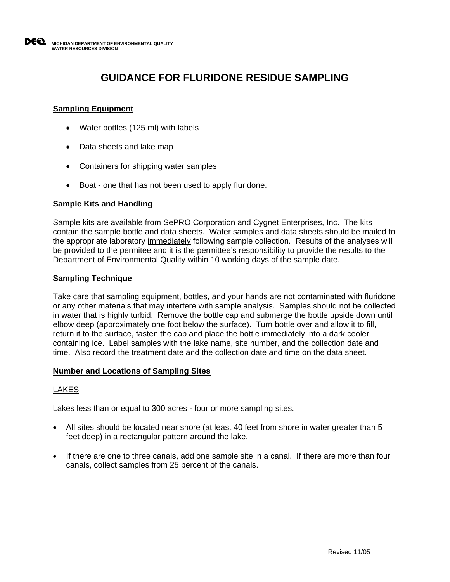# **GUIDANCE FOR FLURIDONE RESIDUE SAMPLING**

# **Sampling Equipment**

- Water bottles (125 ml) with labels
- Data sheets and lake map
- Containers for shipping water samples
- Boat one that has not been used to apply fluridone.

## **Sample Kits and Handling**

Sample kits are available from SePRO Corporation and Cygnet Enterprises, Inc. The kits contain the sample bottle and data sheets. Water samples and data sheets should be mailed to the appropriate laboratory immediately following sample collection. Results of the analyses will be provided to the permitee and it is the permittee's responsibility to provide the results to the Department of Environmental Quality within 10 working days of the sample date.

## **Sampling Technique**

Take care that sampling equipment, bottles, and your hands are not contaminated with fluridone or any other materials that may interfere with sample analysis. Samples should not be collected in water that is highly turbid. Remove the bottle cap and submerge the bottle upside down until elbow deep (approximately one foot below the surface). Turn bottle over and allow it to fill, return it to the surface, fasten the cap and place the bottle immediately into a dark cooler containing ice. Label samples with the lake name, site number, and the collection date and time. Also record the treatment date and the collection date and time on the data sheet.

### **Number and Locations of Sampling Sites**

## LAKES

Lakes less than or equal to 300 acres - four or more sampling sites.

- All sites should be located near shore (at least 40 feet from shore in water greater than 5 feet deep) in a rectangular pattern around the lake.
- If there are one to three canals, add one sample site in a canal. If there are more than four canals, collect samples from 25 percent of the canals.